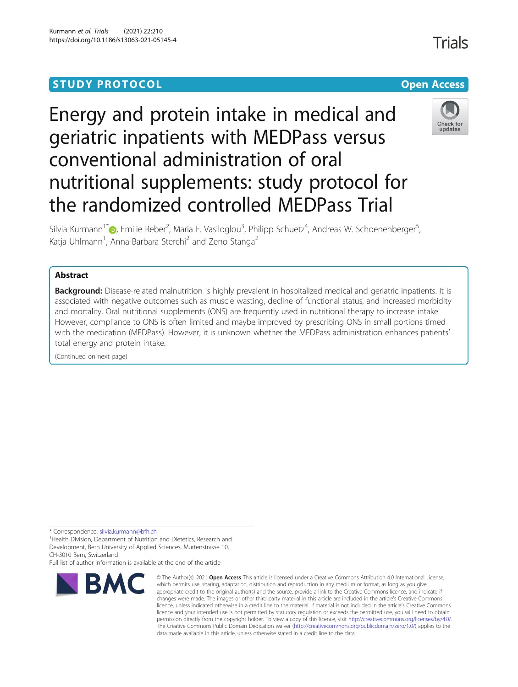# **STUDY PROTOCOL CONSUMING THE CONSUMING OPEN ACCESS**

# Energy and protein intake in medical and geriatric inpatients with MEDPass versus conventional administration of oral nutritional supplements: study protocol for the randomized controlled MEDPass Trial



Silvia Kurmann<sup>1[\\*](http://orcid.org/0000-0002-6721-5423)</sup>D, Emilie Reber<sup>2</sup>, Maria F. Vasiloglou<sup>3</sup>, Philipp Schuetz<sup>4</sup>, Andreas W. Schoenenberger<sup>5</sup> , Katja Uhlmann<sup>1</sup>, Anna-Barbara Sterchi<sup>2</sup> and Zeno Stanga<sup>2</sup>

# Abstract

Background: Disease-related malnutrition is highly prevalent in hospitalized medical and geriatric inpatients. It is associated with negative outcomes such as muscle wasting, decline of functional status, and increased morbidity and mortality. Oral nutritional supplements (ONS) are frequently used in nutritional therapy to increase intake. However, compliance to ONS is often limited and maybe improved by prescribing ONS in small portions timed with the medication (MEDPass). However, it is unknown whether the MEDPass administration enhances patients' total energy and protein intake.

(Continued on next page)

\* Correspondence: [silvia.kurmann@bfh.ch](mailto:silvia.kurmann@bfh.ch)<br><sup>1</sup>Health Division, Department of Nutrition and Dietetics, Research and Development, Bern University of Applied Sciences, Murtenstrasse 10, CH-3010 Bern, Switzerland

Full list of author information is available at the end of the article



<sup>©</sup> The Author(s), 2021 **Open Access** This article is licensed under a Creative Commons Attribution 4.0 International License, which permits use, sharing, adaptation, distribution and reproduction in any medium or format, as long as you give appropriate credit to the original author(s) and the source, provide a link to the Creative Commons licence, and indicate if changes were made. The images or other third party material in this article are included in the article's Creative Commons licence, unless indicated otherwise in a credit line to the material. If material is not included in the article's Creative Commons licence and your intended use is not permitted by statutory regulation or exceeds the permitted use, you will need to obtain permission directly from the copyright holder. To view a copy of this licence, visit [http://creativecommons.org/licenses/by/4.0/.](http://creativecommons.org/licenses/by/4.0/) The Creative Commons Public Domain Dedication waiver [\(http://creativecommons.org/publicdomain/zero/1.0/](http://creativecommons.org/publicdomain/zero/1.0/)) applies to the data made available in this article, unless otherwise stated in a credit line to the data.

**Trials**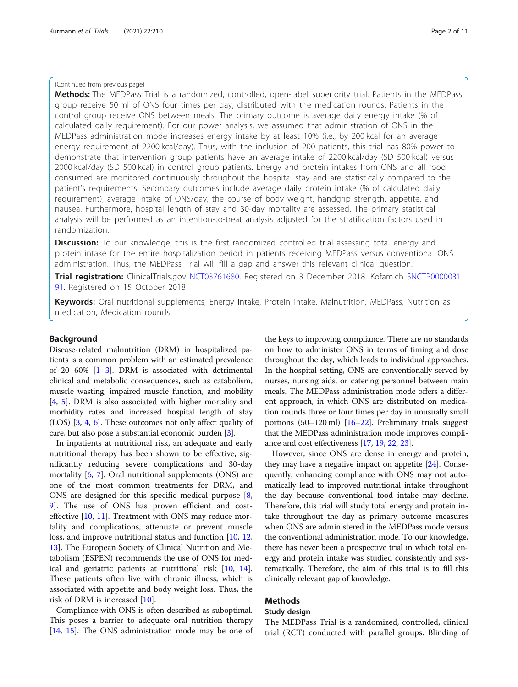# (Continued from previous page)

Methods: The MEDPass Trial is a randomized, controlled, open-label superiority trial. Patients in the MEDPass group receive 50 ml of ONS four times per day, distributed with the medication rounds. Patients in the control group receive ONS between meals. The primary outcome is average daily energy intake (% of calculated daily requirement). For our power analysis, we assumed that administration of ONS in the MEDPass administration mode increases energy intake by at least 10% (i.e., by 200 kcal for an average energy requirement of 2200 kcal/day). Thus, with the inclusion of 200 patients, this trial has 80% power to demonstrate that intervention group patients have an average intake of 2200 kcal/day (SD 500 kcal) versus 2000 kcal/day (SD 500 kcal) in control group patients. Energy and protein intakes from ONS and all food consumed are monitored continuously throughout the hospital stay and are statistically compared to the patient's requirements. Secondary outcomes include average daily protein intake (% of calculated daily requirement), average intake of ONS/day, the course of body weight, handgrip strength, appetite, and nausea. Furthermore, hospital length of stay and 30-day mortality are assessed. The primary statistical analysis will be performed as an intention-to-treat analysis adjusted for the stratification factors used in randomization.

**Discussion:** To our knowledge, this is the first randomized controlled trial assessing total energy and protein intake for the entire hospitalization period in patients receiving MEDPass versus conventional ONS administration. Thus, the MEDPass Trial will fill a gap and answer this relevant clinical question.

Trial registration: ClinicalTrials.gov [NCT03761680](https://clinicaltrials.gov/show/NCT03761680). Registered on 3 December 2018. Kofam.ch [SNCTP0000031](https://www.kofam.ch/de/studienportal/studie/44754/) [91](https://www.kofam.ch/de/studienportal/studie/44754/). Registered on 15 October 2018

Keywords: Oral nutritional supplements, Energy intake, Protein intake, Malnutrition, MEDPass, Nutrition as medication, Medication rounds

#### Background

Disease-related malnutrition (DRM) in hospitalized patients is a common problem with an estimated prevalence of 20–60% [\[1](#page-9-0)–[3\]](#page-9-0). DRM is associated with detrimental clinical and metabolic consequences, such as catabolism, muscle wasting, impaired muscle function, and mobility [[4,](#page-9-0) [5](#page-9-0)]. DRM is also associated with higher mortality and morbidity rates and increased hospital length of stay (LOS) [\[3](#page-9-0), [4](#page-9-0), [6](#page-9-0)]. These outcomes not only affect quality of care, but also pose a substantial economic burden [[3\]](#page-9-0).

In inpatients at nutritional risk, an adequate and early nutritional therapy has been shown to be effective, significantly reducing severe complications and 30-day mortality [[6](#page-9-0), [7\]](#page-9-0). Oral nutritional supplements (ONS) are one of the most common treatments for DRM, and ONS are designed for this specific medical purpose [[8](#page-9-0), [9\]](#page-9-0). The use of ONS has proven efficient and costeffective [\[10](#page-9-0), [11](#page-9-0)]. Treatment with ONS may reduce mortality and complications, attenuate or prevent muscle loss, and improve nutritional status and function [[10](#page-9-0), [12](#page-9-0), [13\]](#page-9-0). The European Society of Clinical Nutrition and Metabolism (ESPEN) recommends the use of ONS for medical and geriatric patients at nutritional risk [\[10,](#page-9-0) [14](#page-9-0)]. These patients often live with chronic illness, which is associated with appetite and body weight loss. Thus, the risk of DRM is increased [\[10](#page-9-0)].

Compliance with ONS is often described as suboptimal. This poses a barrier to adequate oral nutrition therapy [[14](#page-9-0), [15](#page-9-0)]. The ONS administration mode may be one of

the keys to improving compliance. There are no standards on how to administer ONS in terms of timing and dose throughout the day, which leads to individual approaches. In the hospital setting, ONS are conventionally served by nurses, nursing aids, or catering personnel between main meals. The MEDPass administration mode offers a different approach, in which ONS are distributed on medication rounds three or four times per day in unusually small portions (50–120 ml) [\[16](#page-9-0)–[22](#page-9-0)]. Preliminary trials suggest that the MEDPass administration mode improves compliance and cost effectiveness [\[17,](#page-9-0) [19](#page-9-0), [22,](#page-9-0) [23\]](#page-10-0).

However, since ONS are dense in energy and protein, they may have a negative impact on appetite  $[24]$ . Consequently, enhancing compliance with ONS may not automatically lead to improved nutritional intake throughout the day because conventional food intake may decline. Therefore, this trial will study total energy and protein intake throughout the day as primary outcome measures when ONS are administered in the MEDPass mode versus the conventional administration mode. To our knowledge, there has never been a prospective trial in which total energy and protein intake was studied consistently and systematically. Therefore, the aim of this trial is to fill this clinically relevant gap of knowledge.

# Methods

# Study design

The MEDPass Trial is a randomized, controlled, clinical trial (RCT) conducted with parallel groups. Blinding of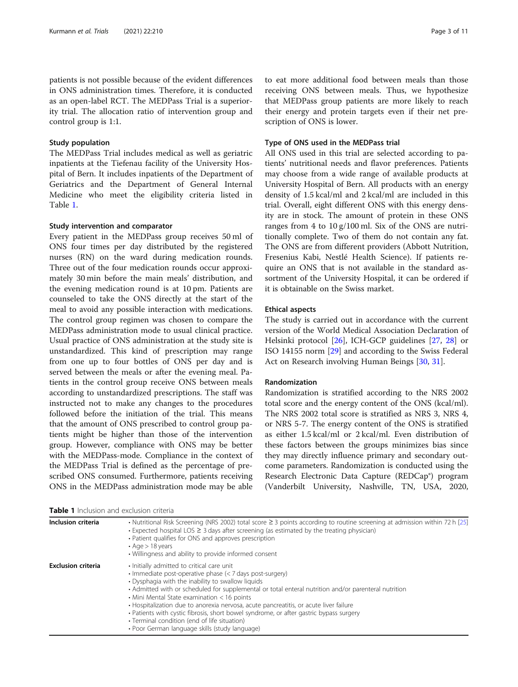patients is not possible because of the evident differences in ONS administration times. Therefore, it is conducted as an open-label RCT. The MEDPass Trial is a superiority trial. The allocation ratio of intervention group and control group is 1:1.

# Study population

The MEDPass Trial includes medical as well as geriatric inpatients at the Tiefenau facility of the University Hospital of Bern. It includes inpatients of the Department of Geriatrics and the Department of General Internal Medicine who meet the eligibility criteria listed in Table 1.

#### Study intervention and comparator

Every patient in the MEDPass group receives 50 ml of ONS four times per day distributed by the registered nurses (RN) on the ward during medication rounds. Three out of the four medication rounds occur approximately 30 min before the main meals' distribution, and the evening medication round is at 10 pm. Patients are counseled to take the ONS directly at the start of the meal to avoid any possible interaction with medications. The control group regimen was chosen to compare the MEDPass administration mode to usual clinical practice. Usual practice of ONS administration at the study site is unstandardized. This kind of prescription may range from one up to four bottles of ONS per day and is served between the meals or after the evening meal. Patients in the control group receive ONS between meals according to unstandardized prescriptions. The staff was instructed not to make any changes to the procedures followed before the initiation of the trial. This means that the amount of ONS prescribed to control group patients might be higher than those of the intervention group. However, compliance with ONS may be better with the MEDPass-mode. Compliance in the context of the MEDPass Trial is defined as the percentage of prescribed ONS consumed. Furthermore, patients receiving ONS in the MEDPass administration mode may be able

Table 1 Inclusion and exclusion criteria

to eat more additional food between meals than those receiving ONS between meals. Thus, we hypothesize that MEDPass group patients are more likely to reach their energy and protein targets even if their net prescription of ONS is lower.

#### Type of ONS used in the MEDPass trial

All ONS used in this trial are selected according to patients' nutritional needs and flavor preferences. Patients may choose from a wide range of available products at University Hospital of Bern. All products with an energy density of 1.5 kcal/ml and 2 kcal/ml are included in this trial. Overall, eight different ONS with this energy density are in stock. The amount of protein in these ONS ranges from 4 to 10 g/100 ml. Six of the ONS are nutritionally complete. Two of them do not contain any fat. The ONS are from different providers (Abbott Nutrition, Fresenius Kabi, Nestlé Health Science). If patients require an ONS that is not available in the standard assortment of the University Hospital, it can be ordered if it is obtainable on the Swiss market.

### Ethical aspects

The study is carried out in accordance with the current version of the World Medical Association Declaration of Helsinki protocol [\[26](#page-10-0)], ICH-GCP guidelines [[27](#page-10-0), [28](#page-10-0)] or ISO 14155 norm [[29\]](#page-10-0) and according to the Swiss Federal Act on Research involving Human Beings [[30,](#page-10-0) [31\]](#page-10-0).

#### Randomization

Randomization is stratified according to the NRS 2002 total score and the energy content of the ONS (kcal/ml). The NRS 2002 total score is stratified as NRS 3, NRS 4, or NRS 5-7. The energy content of the ONS is stratified as either 1.5 kcal/ml or 2 kcal/ml. Even distribution of these factors between the groups minimizes bias since they may directly influence primary and secondary outcome parameters. Randomization is conducted using the Research Electronic Data Capture (REDCap®) program (Vanderbilt University, Nashville, TN, USA, 2020,

| Inclusion criteria        | • Nutritional Risk Screening (NRS 2002) total score $\geq 3$ points according to routine screening at admission within 72 h [25]<br>$\cdot$ Expected hospital LOS $\geq$ 3 days after screening (as estimated by the treating physician)<br>• Patient qualifies for ONS and approves prescription<br>$\cdot$ Age $>$ 18 years<br>• Willingness and ability to provide informed consent                                                                                                                                                                                                                  |
|---------------------------|---------------------------------------------------------------------------------------------------------------------------------------------------------------------------------------------------------------------------------------------------------------------------------------------------------------------------------------------------------------------------------------------------------------------------------------------------------------------------------------------------------------------------------------------------------------------------------------------------------|
| <b>Exclusion criteria</b> | • Initially admitted to critical care unit<br>• Immediate post-operative phase (< 7 days post-surgery)<br>• Dysphagia with the inability to swallow liquids<br>• Admitted with or scheduled for supplemental or total enteral nutrition and/or parenteral nutrition<br>• Mini Mental State examination < 16 points<br>• Hospitalization due to anorexia nervosa, acute pancreatitis, or acute liver failure<br>• Patients with cystic fibrosis, short bowel syndrome, or after gastric bypass surgery<br>• Terminal condition (end of life situation)<br>• Poor German language skills (study language) |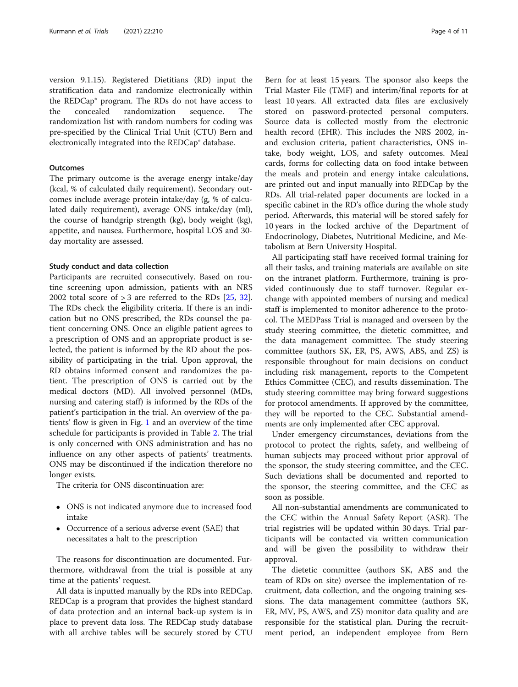version 9.1.15). Registered Dietitians (RD) input the stratification data and randomize electronically within the REDCap® program. The RDs do not have access to the concealed randomization sequence. The randomization list with random numbers for coding was pre-specified by the Clinical Trial Unit (CTU) Bern and electronically integrated into the REDCap® database.

## **Outcomes**

The primary outcome is the average energy intake/day (kcal, % of calculated daily requirement). Secondary outcomes include average protein intake/day (g, % of calculated daily requirement), average ONS intake/day (ml), the course of handgrip strength (kg), body weight (kg), appetite, and nausea. Furthermore, hospital LOS and 30 day mortality are assessed.

#### Study conduct and data collection

Participants are recruited consecutively. Based on routine screening upon admission, patients with an NRS 2002 total score of > 3 are referred to the RDs [[25,](#page-10-0) [32](#page-10-0)]. The RDs check the eligibility criteria. If there is an indication but no ONS prescribed, the RDs counsel the patient concerning ONS. Once an eligible patient agrees to a prescription of ONS and an appropriate product is selected, the patient is informed by the RD about the possibility of participating in the trial. Upon approval, the RD obtains informed consent and randomizes the patient. The prescription of ONS is carried out by the medical doctors (MD). All involved personnel (MDs, nursing and catering staff) is informed by the RDs of the patient's participation in the trial. An overview of the patients' flow is given in Fig. [1](#page-4-0) and an overview of the time schedule for participants is provided in Table [2](#page-5-0). The trial is only concerned with ONS administration and has no influence on any other aspects of patients' treatments. ONS may be discontinued if the indication therefore no longer exists.

The criteria for ONS discontinuation are:

- ONS is not indicated anymore due to increased food intake
- Occurrence of a serious adverse event (SAE) that necessitates a halt to the prescription

The reasons for discontinuation are documented. Furthermore, withdrawal from the trial is possible at any time at the patients' request.

All data is inputted manually by the RDs into REDCap. REDCap is a program that provides the highest standard of data protection and an internal back-up system is in place to prevent data loss. The REDCap study database with all archive tables will be securely stored by CTU

Bern for at least 15 years. The sponsor also keeps the Trial Master File (TMF) and interim/final reports for at least 10 years. All extracted data files are exclusively stored on password-protected personal computers. Source data is collected mostly from the electronic health record (EHR). This includes the NRS 2002, inand exclusion criteria, patient characteristics, ONS intake, body weight, LOS, and safety outcomes. Meal cards, forms for collecting data on food intake between the meals and protein and energy intake calculations, are printed out and input manually into REDCap by the RDs. All trial-related paper documents are locked in a specific cabinet in the RD's office during the whole study period. Afterwards, this material will be stored safely for 10 years in the locked archive of the Department of Endocrinology, Diabetes, Nutritional Medicine, and Metabolism at Bern University Hospital.

All participating staff have received formal training for all their tasks, and training materials are available on site on the intranet platform. Furthermore, training is provided continuously due to staff turnover. Regular exchange with appointed members of nursing and medical staff is implemented to monitor adherence to the protocol. The MEDPass Trial is managed and overseen by the study steering committee, the dietetic committee, and the data management committee. The study steering committee (authors SK, ER, PS, AWS, ABS, and ZS) is responsible throughout for main decisions on conduct including risk management, reports to the Competent Ethics Committee (CEC), and results dissemination. The study steering committee may bring forward suggestions for protocol amendments. If approved by the committee, they will be reported to the CEC. Substantial amendments are only implemented after CEC approval.

Under emergency circumstances, deviations from the protocol to protect the rights, safety, and wellbeing of human subjects may proceed without prior approval of the sponsor, the study steering committee, and the CEC. Such deviations shall be documented and reported to the sponsor, the steering committee, and the CEC as soon as possible.

All non-substantial amendments are communicated to the CEC within the Annual Safety Report (ASR). The trial registries will be updated within 30 days. Trial participants will be contacted via written communication and will be given the possibility to withdraw their approval.

The dietetic committee (authors SK, ABS and the team of RDs on site) oversee the implementation of recruitment, data collection, and the ongoing training sessions. The data management committee (authors SK, ER, MV, PS, AWS, and ZS) monitor data quality and are responsible for the statistical plan. During the recruitment period, an independent employee from Bern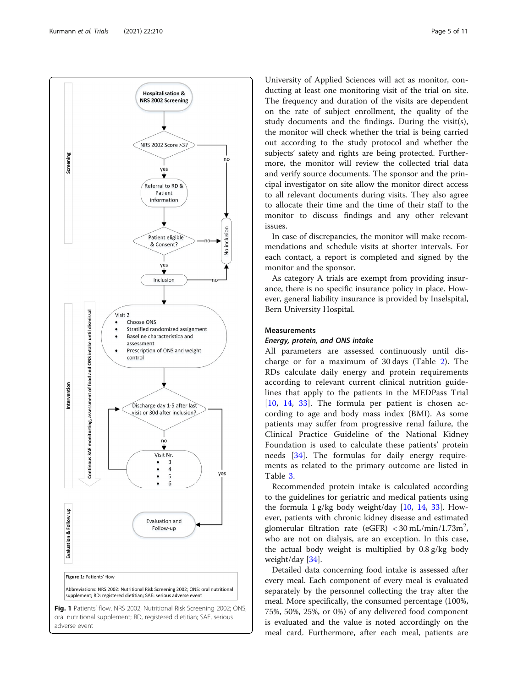<span id="page-4-0"></span>

University of Applied Sciences will act as monitor, conducting at least one monitoring visit of the trial on site. The frequency and duration of the visits are dependent on the rate of subject enrollment, the quality of the study documents and the findings. During the visit(s), the monitor will check whether the trial is being carried out according to the study protocol and whether the subjects' safety and rights are being protected. Furthermore, the monitor will review the collected trial data and verify source documents. The sponsor and the principal investigator on site allow the monitor direct access to all relevant documents during visits. They also agree to allocate their time and the time of their staff to the monitor to discuss findings and any other relevant issues.

In case of discrepancies, the monitor will make recommendations and schedule visits at shorter intervals. For each contact, a report is completed and signed by the monitor and the sponsor.

As category A trials are exempt from providing insurance, there is no specific insurance policy in place. However, general liability insurance is provided by Inselspital, Bern University Hospital.

#### Measurements

## Energy, protein, and ONS intake

All parameters are assessed continuously until discharge or for a maximum of 30 days (Table [2](#page-5-0)). The RDs calculate daily energy and protein requirements according to relevant current clinical nutrition guidelines that apply to the patients in the MEDPass Trial [[10,](#page-9-0) [14,](#page-9-0) [33\]](#page-10-0). The formula per patient is chosen according to age and body mass index (BMI). As some patients may suffer from progressive renal failure, the Clinical Practice Guideline of the National Kidney Foundation is used to calculate these patients' protein needs [\[34](#page-10-0)]. The formulas for daily energy requirements as related to the primary outcome are listed in Table [3](#page-6-0).

Recommended protein intake is calculated according to the guidelines for geriatric and medical patients using the formula  $1 g/kg$  body weight/day [[10](#page-9-0), [14,](#page-9-0) [33\]](#page-10-0). However, patients with chronic kidney disease and estimated glomerular filtration rate (eGFR) <  $30 \text{ mL/min}/1.73 \text{m}^2$ , who are not on dialysis, are an exception. In this case, the actual body weight is multiplied by 0.8 g/kg body weight/day [\[34](#page-10-0)].

Detailed data concerning food intake is assessed after every meal. Each component of every meal is evaluated separately by the personnel collecting the tray after the meal. More specifically, the consumed percentage (100%, 75%, 50%, 25%, or 0%) of any delivered food component is evaluated and the value is noted accordingly on the meal card. Furthermore, after each meal, patients are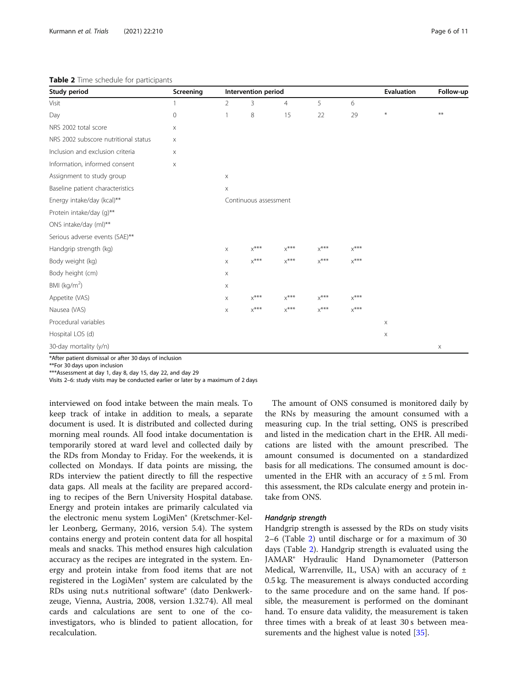#### <span id="page-5-0"></span>Table 2 Time schedule for participants

| Study period                                        | Screening   | Intervention period       |         |                |                             |                             | <b>Evaluation</b> | Follow-up |
|-----------------------------------------------------|-------------|---------------------------|---------|----------------|-----------------------------|-----------------------------|-------------------|-----------|
| Visit                                               | 1           | $\overline{2}$            | 3       | $\overline{4}$ | 5                           | 6                           |                   |           |
| Day                                                 | $\mathbf 0$ | $\overline{1}$            | 8       | 15             | 22                          | 29                          | $\ast$            | **        |
| NRS 2002 total score<br>X                           |             |                           |         |                |                             |                             |                   |           |
| NRS 2002 subscore nutritional status<br>$\mathsf X$ |             |                           |         |                |                             |                             |                   |           |
| Inclusion and exclusion criteria                    | X           |                           |         |                |                             |                             |                   |           |
| Information, informed consent                       | $\mathsf X$ |                           |         |                |                             |                             |                   |           |
| Assignment to study group                           |             | $\mathsf X$               |         |                |                             |                             |                   |           |
| Baseline patient characteristics                    |             | X                         |         |                |                             |                             |                   |           |
| Energy intake/day (kcal)**                          |             | Continuous assessment     |         |                |                             |                             |                   |           |
| Protein intake/day (q)**                            |             |                           |         |                |                             |                             |                   |           |
| ONS intake/day (ml)**                               |             |                           |         |                |                             |                             |                   |           |
| Serious adverse events (SAE)**                      |             |                           |         |                |                             |                             |                   |           |
| Handgrip strength (kg)                              |             | $\mathsf X$               | $x***$  | $x***$         | $\mathsf{X}^{\texttt{***}}$ | $\mathsf{X}^{\texttt{***}}$ |                   |           |
| Body weight (kg)                                    |             | $\times$                  | $X$ *** | $x$ ***        | $x$ ***                     | $\mathsf{X}^{\text{***}}$   |                   |           |
| Body height (cm)                                    |             | $\boldsymbol{\mathsf{X}}$ |         |                |                             |                             |                   |           |
| BMI ( $kg/m2$ )                                     |             | $\mathsf X$               |         |                |                             |                             |                   |           |
| Appetite (VAS)                                      |             | $\mathsf X$               | $X$ *** | $x***$         | $x$ ***                     | $X$ ***                     |                   |           |
| Nausea (VAS)                                        |             | $\mathsf X$               | $X$ *** | $X$ ***        | $X$ ***                     | $X$ ***                     |                   |           |
| Procedural variables                                |             |                           |         |                |                             |                             | X                 |           |
| Hospital LOS (d)                                    |             |                           |         |                |                             |                             | X                 |           |
| 30-day mortality (y/n)                              |             |                           |         |                |                             |                             |                   | X         |

\*After patient dismissal or after 30 days of inclusion

\*\*For 30 days upon inclusion

\*\*\*Assessment at day 1, day 8, day 15, day 22, and day 29

Visits 2–6: study visits may be conducted earlier or later by a maximum of 2 days

interviewed on food intake between the main meals. To keep track of intake in addition to meals, a separate document is used. It is distributed and collected during morning meal rounds. All food intake documentation is temporarily stored at ward level and collected daily by the RDs from Monday to Friday. For the weekends, it is collected on Mondays. If data points are missing, the RDs interview the patient directly to fill the respective data gaps. All meals at the facility are prepared according to recipes of the Bern University Hospital database. Energy and protein intakes are primarily calculated via the electronic menu system LogiMen® (Kretschmer-Keller Leonberg, Germany, 2016, version 5.4). The system contains energy and protein content data for all hospital meals and snacks. This method ensures high calculation accuracy as the recipes are integrated in the system. Energy and protein intake from food items that are not registered in the LogiMen® system are calculated by the RDs using nut.s nutritional software® (dato Denkwerkzeuge, Vienna, Austria, 2008, version 1.32.74). All meal cards and calculations are sent to one of the coinvestigators, who is blinded to patient allocation, for recalculation.

The amount of ONS consumed is monitored daily by the RNs by measuring the amount consumed with a measuring cup. In the trial setting, ONS is prescribed and listed in the medication chart in the EHR. All medications are listed with the amount prescribed. The amount consumed is documented on a standardized basis for all medications. The consumed amount is documented in the EHR with an accuracy of  $\pm$  5 ml. From this assessment, the RDs calculate energy and protein intake from ONS.

#### Handgrip strength

Handgrip strength is assessed by the RDs on study visits 2–6 (Table 2) until discharge or for a maximum of 30 days (Table 2). Handgrip strength is evaluated using the JAMAR® Hydraulic Hand Dynamometer (Patterson Medical, Warrenville, IL, USA) with an accuracy of  $\pm$ 0.5 kg. The measurement is always conducted according to the same procedure and on the same hand. If possible, the measurement is performed on the dominant hand. To ensure data validity, the measurement is taken three times with a break of at least 30 s between measurements and the highest value is noted [[35](#page-10-0)].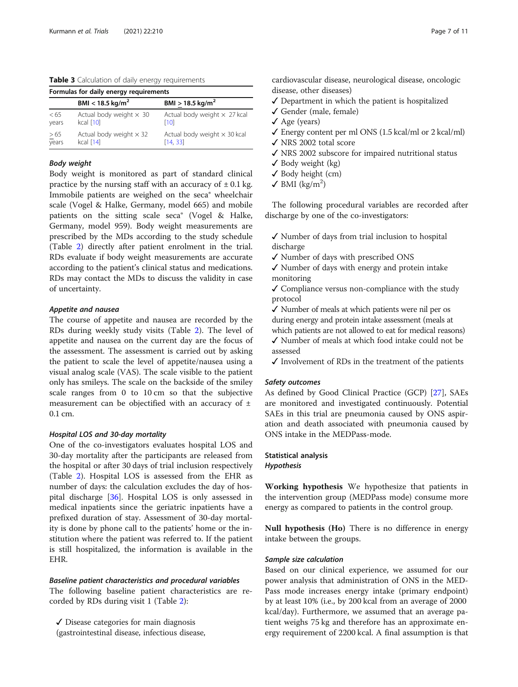<span id="page-6-0"></span>Table 3 Calculation of daily energy requirements

| Formulas for daily energy requirements |                                             |                                                 |  |  |  |
|----------------------------------------|---------------------------------------------|-------------------------------------------------|--|--|--|
|                                        | $BMI < 18.5 \text{ kg/m}^2$                 | $BMI > 18.5 \text{ kg/m}^2$                     |  |  |  |
| < 65<br>years                          | Actual body weight $\times$ 30<br>kcal [10] | Actual body weight $\times$ 27 kcal<br>[10]     |  |  |  |
| $\geq 65$<br>years                     | Actual body weight $\times$ 32<br>kcal [14] | Actual body weight $\times$ 30 kcal<br>[14, 33] |  |  |  |

# Body weight

Body weight is monitored as part of standard clinical practice by the nursing staff with an accuracy of  $\pm$  0.1 kg. Immobile patients are weighed on the seca® wheelchair scale (Vogel & Halke, Germany, model 665) and mobile patients on the sitting scale seca® (Vogel & Halke, Germany, model 959). Body weight measurements are prescribed by the MDs according to the study schedule (Table [2\)](#page-5-0) directly after patient enrolment in the trial. RDs evaluate if body weight measurements are accurate according to the patient's clinical status and medications. RDs may contact the MDs to discuss the validity in case of uncertainty.

#### Appetite and nausea

The course of appetite and nausea are recorded by the RDs during weekly study visits (Table [2\)](#page-5-0). The level of appetite and nausea on the current day are the focus of the assessment. The assessment is carried out by asking the patient to scale the level of appetite/nausea using a visual analog scale (VAS). The scale visible to the patient only has smileys. The scale on the backside of the smiley scale ranges from 0 to 10 cm so that the subjective measurement can be objectified with an accuracy of  $\pm$ 0.1 cm.

#### Hospital LOS and 30-day mortality

One of the co-investigators evaluates hospital LOS and 30-day mortality after the participants are released from the hospital or after 30 days of trial inclusion respectively (Table [2\)](#page-5-0). Hospital LOS is assessed from the EHR as number of days: the calculation excludes the day of hospital discharge [[36](#page-10-0)]. Hospital LOS is only assessed in medical inpatients since the geriatric inpatients have a prefixed duration of stay. Assessment of 30-day mortality is done by phone call to the patients' home or the institution where the patient was referred to. If the patient is still hospitalized, the information is available in the EHR.

### Baseline patient characteristics and procedural variables

The following baseline patient characteristics are recorded by RDs during visit 1 (Table [2](#page-5-0)):

✓ Disease categories for main diagnosis (gastrointestinal disease, infectious disease, cardiovascular disease, neurological disease, oncologic disease, other diseases)

- $\checkmark$  Department in which the patient is hospitalized
- ✓ Gender (male, female)
- ✓ Age (years)
- $\checkmark$  Energy content per ml ONS (1.5 kcal/ml or 2 kcal/ml)
- ✓ NRS 2002 total score
- ✓ NRS 2002 subscore for impaired nutritional status
- $\checkmark$  Body weight (kg)
- ✓ Body height (cm)
- $\checkmark$  BMI (kg/m<sup>2</sup>)

The following procedural variables are recorded after discharge by one of the co-investigators:

- ✓ Number of days from trial inclusion to hospital discharge
- ✓ Number of days with prescribed ONS

✓ Number of days with energy and protein intake monitoring

✓ Compliance versus non-compliance with the study protocol

✓ Number of meals at which patients were nil per os during energy and protein intake assessment (meals at

which patients are not allowed to eat for medical reasons) ✓ Number of meals at which food intake could not be assessed

 $\checkmark$  Involvement of RDs in the treatment of the patients

#### Safety outcomes

As defined by Good Clinical Practice (GCP) [\[27](#page-10-0)], SAEs are monitored and investigated continuously. Potential SAEs in this trial are pneumonia caused by ONS aspiration and death associated with pneumonia caused by ONS intake in the MEDPass-mode.

# Statistical analysis

Hypothesis

Working hypothesis We hypothesize that patients in the intervention group (MEDPass mode) consume more energy as compared to patients in the control group.

Null hypothesis (Ho) There is no difference in energy intake between the groups.

#### Sample size calculation

Based on our clinical experience, we assumed for our power analysis that administration of ONS in the MED-Pass mode increases energy intake (primary endpoint) by at least 10% (i.e., by 200 kcal from an average of 2000 kcal/day). Furthermore, we assumed that an average patient weighs 75 kg and therefore has an approximate energy requirement of 2200 kcal. A final assumption is that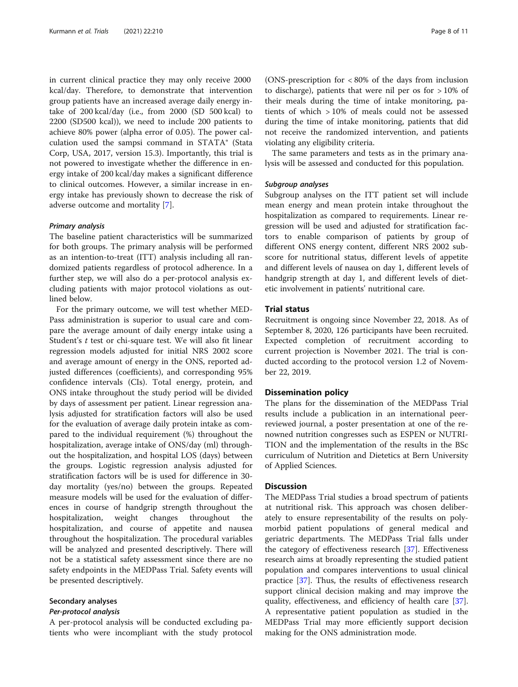in current clinical practice they may only receive 2000 kcal/day. Therefore, to demonstrate that intervention group patients have an increased average daily energy intake of 200 kcal/day (i.e., from 2000 (SD 500 kcal) to 2200 (SD500 kcal)), we need to include 200 patients to achieve 80% power (alpha error of 0.05). The power calculation used the sampsi command in STATA® (Stata Corp, USA, 2017, version 15.3). Importantly, this trial is not powered to investigate whether the difference in energy intake of 200 kcal/day makes a significant difference to clinical outcomes. However, a similar increase in energy intake has previously shown to decrease the risk of adverse outcome and mortality [[7\]](#page-9-0).

#### Primary analysis

The baseline patient characteristics will be summarized for both groups. The primary analysis will be performed as an intention-to-treat (ITT) analysis including all randomized patients regardless of protocol adherence. In a further step, we will also do a per-protocol analysis excluding patients with major protocol violations as outlined below.

For the primary outcome, we will test whether MED-Pass administration is superior to usual care and compare the average amount of daily energy intake using a Student's t test or chi-square test. We will also fit linear regression models adjusted for initial NRS 2002 score and average amount of energy in the ONS, reported adjusted differences (coefficients), and corresponding 95% confidence intervals (CIs). Total energy, protein, and ONS intake throughout the study period will be divided by days of assessment per patient. Linear regression analysis adjusted for stratification factors will also be used for the evaluation of average daily protein intake as compared to the individual requirement (%) throughout the hospitalization, average intake of ONS/day (ml) throughout the hospitalization, and hospital LOS (days) between the groups. Logistic regression analysis adjusted for stratification factors will be is used for difference in 30 day mortality (yes/no) between the groups. Repeated measure models will be used for the evaluation of differences in course of handgrip strength throughout the hospitalization, weight changes throughout the hospitalization, and course of appetite and nausea throughout the hospitalization. The procedural variables will be analyzed and presented descriptively. There will not be a statistical safety assessment since there are no safety endpoints in the MEDPass Trial. Safety events will be presented descriptively.

#### Secondary analyses

#### Per-protocol analysis

A per-protocol analysis will be conducted excluding patients who were incompliant with the study protocol

(ONS-prescription for < 80% of the days from inclusion to discharge), patients that were nil per os for > 10% of their meals during the time of intake monitoring, patients of which > 10% of meals could not be assessed during the time of intake monitoring, patients that did not receive the randomized intervention, and patients violating any eligibility criteria.

The same parameters and tests as in the primary analysis will be assessed and conducted for this population.

## Subgroup analyses

Subgroup analyses on the ITT patient set will include mean energy and mean protein intake throughout the hospitalization as compared to requirements. Linear regression will be used and adjusted for stratification factors to enable comparison of patients by group of different ONS energy content, different NRS 2002 subscore for nutritional status, different levels of appetite and different levels of nausea on day 1, different levels of handgrip strength at day 1, and different levels of dietetic involvement in patients' nutritional care.

#### Trial status

Recruitment is ongoing since November 22, 2018. As of September 8, 2020, 126 participants have been recruited. Expected completion of recruitment according to current projection is November 2021. The trial is conducted according to the protocol version 1.2 of November 22, 2019.

# Dissemination policy

The plans for the dissemination of the MEDPass Trial results include a publication in an international peerreviewed journal, a poster presentation at one of the renowned nutrition congresses such as ESPEN or NUTRI-TION and the implementation of the results in the BSc curriculum of Nutrition and Dietetics at Bern University of Applied Sciences.

# **Discussion**

The MEDPass Trial studies a broad spectrum of patients at nutritional risk. This approach was chosen deliberately to ensure representability of the results on polymorbid patient populations of general medical and geriatric departments. The MEDPass Trial falls under the category of effectiveness research [\[37](#page-10-0)]. Effectiveness research aims at broadly representing the studied patient population and compares interventions to usual clinical practice [\[37\]](#page-10-0). Thus, the results of effectiveness research support clinical decision making and may improve the quality, effectiveness, and efficiency of health care [\[37](#page-10-0)]. A representative patient population as studied in the MEDPass Trial may more efficiently support decision making for the ONS administration mode.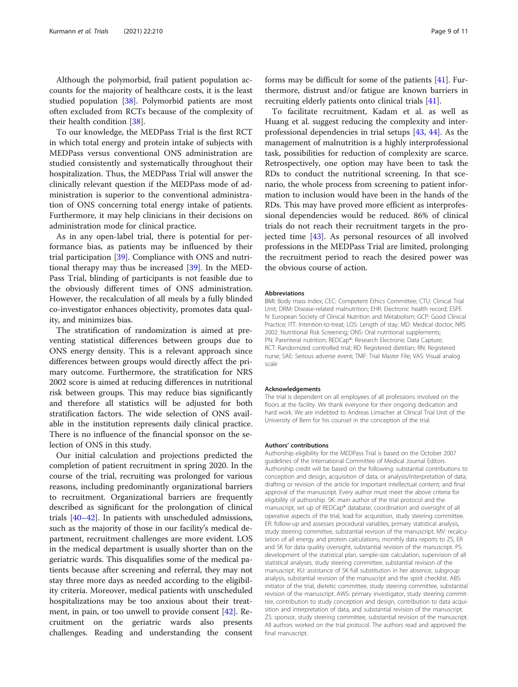Although the polymorbid, frail patient population accounts for the majority of healthcare costs, it is the least studied population [\[38](#page-10-0)]. Polymorbid patients are most often excluded from RCTs because of the complexity of their health condition [[38\]](#page-10-0).

To our knowledge, the MEDPass Trial is the first RCT in which total energy and protein intake of subjects with MEDPass versus conventional ONS administration are studied consistently and systematically throughout their hospitalization. Thus, the MEDPass Trial will answer the clinically relevant question if the MEDPass mode of administration is superior to the conventional administration of ONS concerning total energy intake of patients. Furthermore, it may help clinicians in their decisions on administration mode for clinical practice.

As in any open-label trial, there is potential for performance bias, as patients may be influenced by their trial participation [\[39](#page-10-0)]. Compliance with ONS and nutritional therapy may thus be increased [[39](#page-10-0)]. In the MED-Pass Trial, blinding of participants is not feasible due to the obviously different times of ONS administration. However, the recalculation of all meals by a fully blinded co-investigator enhances objectivity, promotes data quality, and minimizes bias.

The stratification of randomization is aimed at preventing statistical differences between groups due to ONS energy density. This is a relevant approach since differences between groups would directly affect the primary outcome. Furthermore, the stratification for NRS 2002 score is aimed at reducing differences in nutritional risk between groups. This may reduce bias significantly and therefore all statistics will be adjusted for both stratification factors. The wide selection of ONS available in the institution represents daily clinical practice. There is no influence of the financial sponsor on the selection of ONS in this study.

Our initial calculation and projections predicted the completion of patient recruitment in spring 2020. In the course of the trial, recruiting was prolonged for various reasons, including predominantly organizational barriers to recruitment. Organizational barriers are frequently described as significant for the prolongation of clinical trials [[40](#page-10-0)–[42](#page-10-0)]. In patients with unscheduled admissions, such as the majority of those in our facility's medical department, recruitment challenges are more evident. LOS in the medical department is usually shorter than on the geriatric wards. This disqualifies some of the medical patients because after screening and referral, they may not stay three more days as needed according to the eligibility criteria. Moreover, medical patients with unscheduled hospitalizations may be too anxious about their treatment, in pain, or too unwell to provide consent [\[42](#page-10-0)]. Recruitment on the geriatric wards also presents challenges. Reading and understanding the consent forms may be difficult for some of the patients [[41\]](#page-10-0). Furthermore, distrust and/or fatigue are known barriers in recruiting elderly patients onto clinical trials [[41](#page-10-0)].

To facilitate recruitment, Kadam et al. as well as Huang et al. suggest reducing the complexity and interprofessional dependencies in trial setups [\[43,](#page-10-0) [44](#page-10-0)]. As the management of malnutrition is a highly interprofessional task, possibilities for reduction of complexity are scarce. Retrospectively, one option may have been to task the RDs to conduct the nutritional screening. In that scenario, the whole process from screening to patient information to inclusion would have been in the hands of the RDs. This may have proved more efficient as interprofessional dependencies would be reduced. 86% of clinical trials do not reach their recruitment targets in the projected time [[43](#page-10-0)]. As personal resources of all involved professions in the MEDPass Trial are limited, prolonging the recruitment period to reach the desired power was the obvious course of action.

#### Abbreviations

BMI: Body mass index; CEC: Competent Ethics Committee; CTU: Clinical Trial Unit; DRM: Disease-related malnutrition; EHR: Electronic health record; ESPE N: European Society of Clinical Nutrition and Metabolism; GCP: Good Clinical Practice; ITT: Intention-to-treat; LOS: Length of stay; MD: Medical doctor; NRS 2002: Nutritional Risk Screening; ONS: Oral nutritional supplements; PN: Parenteral nutrition; REDCap®: Research Electronic Data Capture; RCT: Randomized controlled trial; RD: Registered dietitian; RN: Registered nurse; SAE: Serious adverse event; TMF: Trial Master File; VAS: Visual analog scale

#### Acknowledgements

The trial is dependent on all employees of all professions involved on the floors at the facility. We thank everyone for their ongoing dedication and hard work. We are indebted to Andreas Limacher at Clinical Trial Unit of the University of Bern for his counsel in the conception of the trial.

#### Authors' contributions

Authorship eligibility for the MEDPass Trial is based on the October 2007 guidelines of the International Committee of Medical Journal Editors. Authorship credit will be based on the following: substantial contributions to conception and design, acquisition of data, or analysis/interpretation of data; drafting or revision of the article for important intellectual content; and final approval of the manuscript. Every author must meet the above criteria for eligibility of authorship. SK: main author of the trial protocol and the manuscript, set up of REDCap® database, coordination and oversight of all operative aspects of the trial, lead for acquisition, study steering committee. ER: follow-up and assesses procedural variables, primary statistical analysis, study steering committee, substantial revision of the manuscript. MV: recalculation of all energy and protein calculations, monthly data reports to ZS, ER and SK for data quality oversight, substantial revision of the manuscript. PS: development of the statistical plan, sample-size calculation, supervision of all statistical analyses, study steering committee, substantial revision of the manuscript. KU: assistance of SK full substitution in her absence, subgroup analysis, substantial revision of the manuscript and the spirit checklist. ABS: initiator of the trial, dietetic committee, study steering committee, substantial revision of the manuscript. AWS: primary investigator, study steering committee, contribution to study conception and design, contribution to data acquisition and interpretation of data, and substantial revision of the manuscript. ZS: sponsor, study steering committee, substantial revision of the manuscript. All authors worked on the trial protocol. The authors read and approved the final manuscript.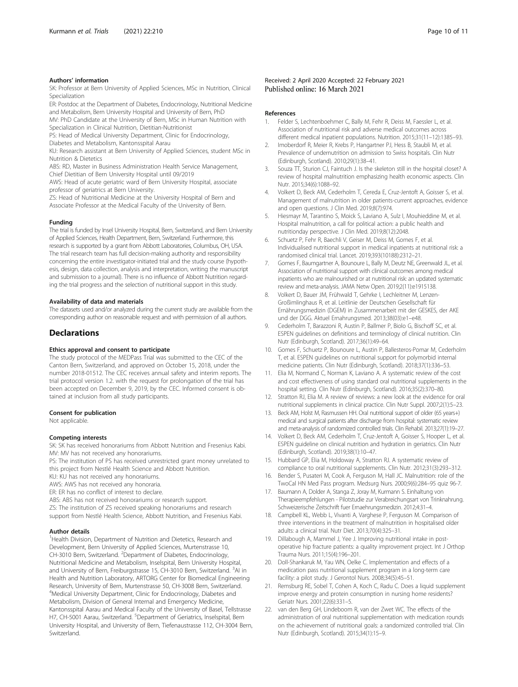#### <span id="page-9-0"></span>Authors' information

SK: Professor at Bern University of Applied Sciences, MSc in Nutrition, Clinical Specialization

ER: Postdoc at the Department of Diabetes, Endocrinology, Nutritional Medicine and Metabolism, Bern University Hospital and University of Bern, PhD

MV: PhD Candidate at the University of Bern, MSc in Human Nutrition with Specialization in Clinical Nutrition, Dietitian-Nutritionist

PS: Head of Medical University Department, Clinic for Endocrinology, Diabetes and Metabolism, Kantonsspital Aarau

KU: Research assistant at Bern University of Applied Sciences, student MSc in Nutrition & Dietetics

ABS: RD, Master in Business Administration Health Service Management, Chief Dietitian of Bern University Hospital until 09/2019

AWS: Head of acute geriatric ward of Bern University Hospital, associate professor of geriatrics at Bern University.

ZS: Head of Nutritional Medicine at the University Hospital of Bern and Associate Professor at the Medical Faculty of the University of Bern.

#### Funding

The trial is funded by Insel University Hospital, Bern, Switzerland, and Bern University of Applied Sciences, Health Department, Bern, Switzerland. Furthermore, this research is supported by a grant from Abbott Laboratories, Columbus, OH, USA. The trial research team has full decision-making authority and responsibility concerning the entire investigator-initiated trial and the study course (hypothesis, design, data collection, analysis and interpretation, writing the manuscript and submission to a journal). There is no influence of Abbott Nutrition regarding the trial progress and the selection of nutritional support in this study.

#### Availability of data and materials

The datasets used and/or analyzed during the current study are available from the corresponding author on reasonable request and with permission of all authors.

# **Declarations**

#### Ethics approval and consent to participate

The study protocol of the MEDPass Trial was submitted to the CEC of the Canton Bern, Switzerland, and approved on October 15, 2018, under the number 2018-01512. The CEC receives annual safety and interim reports. The trial protocol version 1.2. with the request for prolongation of the trial has been accepted on December 9, 2019, by the CEC. Informed consent is obtained at inclusion from all study participants.

#### Consent for publication

Not applicable.

#### Competing interests

SK: SK has received honorariums from Abbott Nutrition and Fresenius Kabi. MV: MV has not received any honorariums.

PS: The institution of PS has received unrestricted grant money unrelated to this project from Nestlé Health Science and Abbott Nutrition.

KU: KU has not received any honorariums.

AWS: AWS has not received any honoraria.

ER: ER has no conflict of interest to declare.

ABS: ABS has not received honorariums or research support.

ZS: The institution of ZS received speaking honorariums and research support from Nestlé Health Science, Abbott Nutrition, and Fresenius Kabi.

#### Author details

<sup>1</sup> Health Division, Department of Nutrition and Dietetics, Research and Development, Bern University of Applied Sciences, Murtenstrasse 10, CH-3010 Bern, Switzerland. <sup>2</sup> Department of Diabetes, Endocrinology, Nutritional Medicine and Metabolism, Inselspital, Bern University Hospital, and University of Bern, Freiburgstrasse 15, CH-3010 Bern, Switzerland. <sup>3</sup>AI in Health and Nutrition Laboratory, ARTORG Center for Biomedical Engineering Research, University of Bern, Murtenstrasse 50, CH-3008 Bern, Switzerland. 4 Medical University Department, Clinic for Endocrinology, Diabetes and Metabolism, Division of General Internal and Emergency Medicine, Kantonsspital Aarau and Medical Faculty of the University of Basel, Tellstrasse H7, CH-5001 Aarau, Switzerland. <sup>5</sup>Department of Geriatrics, Inselspital, Bern University Hospital, and University of Bern, Tiefenaustrasse 112, CH-3004 Bern, Switzerland.

#### Received: 2 April 2020 Accepted: 22 February 2021 Published online: 16 March 2021

#### References

- 1. Felder S, Lechtenboehmer C, Bally M, Fehr R, Deiss M, Faessler L, et al. Association of nutritional risk and adverse medical outcomes across different medical inpatient populations. Nutrition. 2015;31(11–12):1385–93.
- 2. Imoberdorf R, Meier R, Krebs P, Hangartner PJ, Hess B, Staubli M, et al. Prevalence of undernutrition on admission to Swiss hospitals. Clin Nutr (Edinburgh, Scotland). 2010;29(1):38–41.
- 3. Souza TT, Sturion CJ, Faintuch J. Is the skeleton still in the hospital closet? A review of hospital malnutrition emphasizing health economic aspects. Clin Nutr. 2015;34(6):1088–92.
- 4. Volkert D, Beck AM, Cederholm T, Cereda E, Cruz-Jentoft A, Goisser S, et al. Management of malnutrition in older patients-current approaches, evidence and open questions. J Clin Med. 2019;8(7):974.
- 5. Hiesmayr M, Tarantino S, Moick S, Laviano A, Sulz I, Mouhieddine M, et al. Hospital malnutrition, a call for political action: a public health and nutritionday perspective. J Clin Med. 2019;8(12):2048.
- 6. Schuetz P, Fehr R, Baechli V, Geiser M, Deiss M, Gomes F, et al. Individualised nutritional support in medical inpatients at nutritional risk: a randomised clinical trial. Lancet. 2019;393(10188):2312–21.
- 7. Gomes F, Baumgartner A, Bounoure L, Bally M, Deutz NE, Greenwald JL, et al. Association of nutritional support with clinical outcomes among medical inpatients who are malnourished or at nutritional risk: an updated systematic review and meta-analysis. JAMA Netw Open. 2019;2(11):e1915138.
- 8. Volkert D, Bauer JM, Frühwald T, Gehrke I, Lechleitner M, Lenzen-Großimlinghaus R, et al. Leitlinie der Deutschen Gesellschaft für Ernährungsmedizin (DGEM) in Zusammenarbeit mit der GESKES, der AKE und der DGG. Aktuel Ernahrungsmed. 2013;38(03):e1–e48.
- 9. Cederholm T, Barazzoni R, Austin P, Ballmer P, Biolo G, Bischoff SC, et al. ESPEN guidelines on definitions and terminology of clinical nutrition. Clin Nutr (Edinburgh, Scotland). 2017;36(1):49–64.
- 10. Gomes F, Schuetz P, Bounoure L, Austin P, Ballesteros-Pomar M, Cederholm T, et al. ESPEN guidelines on nutritional support for polymorbid internal medicine patients. Clin Nutr (Edinburgh, Scotland). 2018;37(1):336–53.
- 11. Elia M, Normand C, Norman K, Laviano A. A systematic review of the cost and cost effectiveness of using standard oral nutritional supplements in the hospital setting. Clin Nutr (Edinburgh, Scotland). 2016;35(2):370–80.
- 12. Stratton RJ, Elia M. A review of reviews: a new look at the evidence for oral nutritional supplements in clinical practice. Clin Nutr Suppl. 2007;2(1):5–23.
- 13. Beck AM, Holst M, Rasmussen HH. Oral nutritional support of older (65 years+) medical and surgical patients after discharge from hospital: systematic review and meta-analysis of randomized controlled trials. Clin Rehabil. 2013;27(1):19–27.
- 14. Volkert D, Beck AM, Cederholm T, Cruz-Jentoft A, Goisser S, Hooper L, et al. ESPEN guideline on clinical nutrition and hydration in geriatrics. Clin Nutr (Edinburgh, Scotland). 2019;38(1):10–47.
- 15. Hubbard GP, Elia M, Holdoway A, Stratton RJ. A systematic review of compliance to oral nutritional supplements. Clin Nutr. 2012;31(3):293–312.
- 16. Bender S, Pusateri M, Cook A, Ferguson M, Hall JC. Malnutrition: role of the TwoCal HN Med Pass program. Medsurg Nurs. 2000;9(6):284–95 quiz 96-7.
- 17. Baumann A, Dolder A, Stanga Z, Joray M, Kurmann S. Einhaltung von Therapieempfehlungen - Pilotstudie zur Verabreichungsart von Trinknahrung. Schweizerische Zeitschrift fuer Ernaehrungsmedizin. 2012;4:31–4.
- 18. Campbell KL, Webb L, Vivanti A, Varghese P, Ferguson M. Comparison of three interventions in the treatment of malnutrition in hospitalised older adults: a clinical trial. Nutr Diet. 2013;70(4):325–31.
- 19. Dillabough A, Mammel J, Yee J. Improving nutritional intake in postoperative hip fracture patients: a quality improvement project. Int J Orthop Trauma Nurs. 2011;15(4):196–201.
- 20. Doll-Shankaruk M, Yau WN, Oelke C. Implementation and effects of a medication pass nutritional supplement program in a long-term care facility: a pilot study. J Gerontol Nurs. 2008;34(5):45–51.
- 21. Remsburg RE, Sobel T, Cohen A, Koch C, Radu C. Does a liquid supplement improve energy and protein consumption in nursing home residents? Geriatr Nurs. 2001;22(6):331–5.
- 22. van den Berg GH, Lindeboom R, van der Zwet WC. The effects of the administration of oral nutritional supplementation with medication rounds on the achievement of nutritional goals: a randomized controlled trial. Clin Nutr (Edinburgh, Scotland). 2015;34(1):15–9.